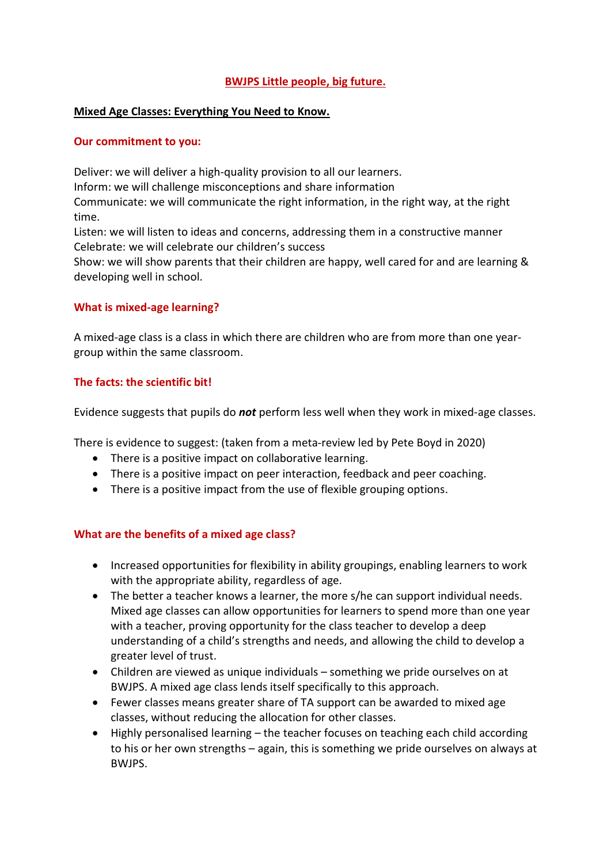## BWJPS Little people, big future.

### Mixed Age Classes: Everything You Need to Know.

### Our commitment to you:

Deliver: we will deliver a high-quality provision to all our learners. Inform: we will challenge misconceptions and share information Communicate: we will communicate the right information, in the right way, at the right time.

Listen: we will listen to ideas and concerns, addressing them in a constructive manner Celebrate: we will celebrate our children's success

Show: we will show parents that their children are happy, well cared for and are learning & developing well in school.

### What is mixed-age learning?

A mixed-age class is a class in which there are children who are from more than one yeargroup within the same classroom.

## The facts: the scientific bit!

Evidence suggests that pupils do not perform less well when they work in mixed-age classes.

There is evidence to suggest: (taken from a meta-review led by Pete Boyd in 2020)

- There is a positive impact on collaborative learning.
- There is a positive impact on peer interaction, feedback and peer coaching.
- There is a positive impact from the use of flexible grouping options.

## What are the benefits of a mixed age class?

- Increased opportunities for flexibility in ability groupings, enabling learners to work with the appropriate ability, regardless of age.
- The better a teacher knows a learner, the more s/he can support individual needs. Mixed age classes can allow opportunities for learners to spend more than one year with a teacher, proving opportunity for the class teacher to develop a deep understanding of a child's strengths and needs, and allowing the child to develop a greater level of trust.
- Children are viewed as unique individuals something we pride ourselves on at BWJPS. A mixed age class lends itself specifically to this approach.
- Fewer classes means greater share of TA support can be awarded to mixed age classes, without reducing the allocation for other classes.
- Highly personalised learning the teacher focuses on teaching each child according to his or her own strengths – again, this is something we pride ourselves on always at BWJPS.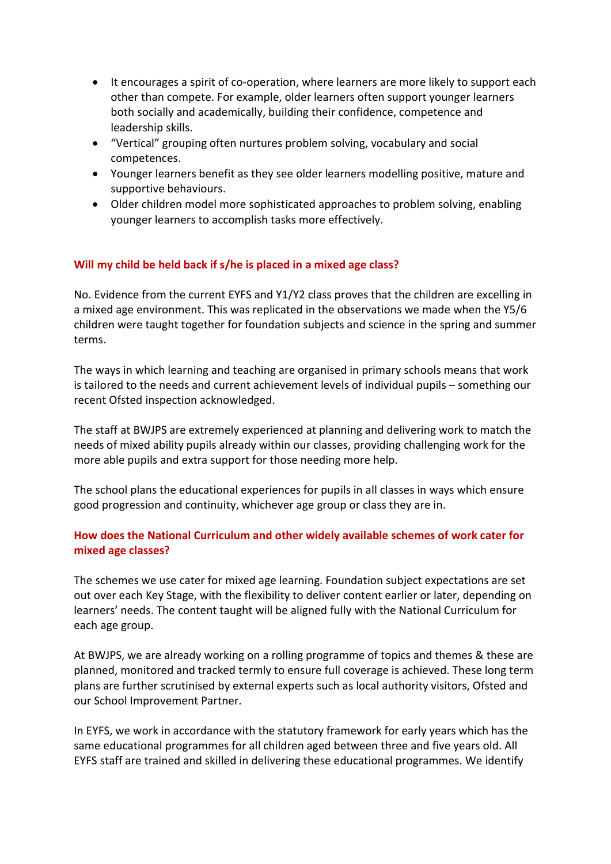- It encourages a spirit of co-operation, where learners are more likely to support each other than compete. For example, older learners often support younger learners both socially and academically, building their confidence, competence and leadership skills.
- "Vertical" grouping often nurtures problem solving, vocabulary and social competences.
- Younger learners benefit as they see older learners modelling positive, mature and supportive behaviours.
- Older children model more sophisticated approaches to problem solving, enabling younger learners to accomplish tasks more effectively.

# Will my child be held back if s/he is placed in a mixed age class?

No. Evidence from the current EYFS and Y1/Y2 class proves that the children are excelling in a mixed age environment. This was replicated in the observations we made when the Y5/6 children were taught together for foundation subjects and science in the spring and summer terms.

The ways in which learning and teaching are organised in primary schools means that work is tailored to the needs and current achievement levels of individual pupils – something our recent Ofsted inspection acknowledged.

The staff at BWJPS are extremely experienced at planning and delivering work to match the needs of mixed ability pupils already within our classes, providing challenging work for the more able pupils and extra support for those needing more help.

The school plans the educational experiences for pupils in all classes in ways which ensure good progression and continuity, whichever age group or class they are in.

# How does the National Curriculum and other widely available schemes of work cater for mixed age classes?

The schemes we use cater for mixed age learning. Foundation subject expectations are set out over each Key Stage, with the flexibility to deliver content earlier or later, depending on learners' needs. The content taught will be aligned fully with the National Curriculum for each age group.

At BWJPS, we are already working on a rolling programme of topics and themes & these are planned, monitored and tracked termly to ensure full coverage is achieved. These long term plans are further scrutinised by external experts such as local authority visitors, Ofsted and our School Improvement Partner.

In EYFS, we work in accordance with the statutory framework for early years which has the same educational programmes for all children aged between three and five years old. All EYFS staff are trained and skilled in delivering these educational programmes. We identify